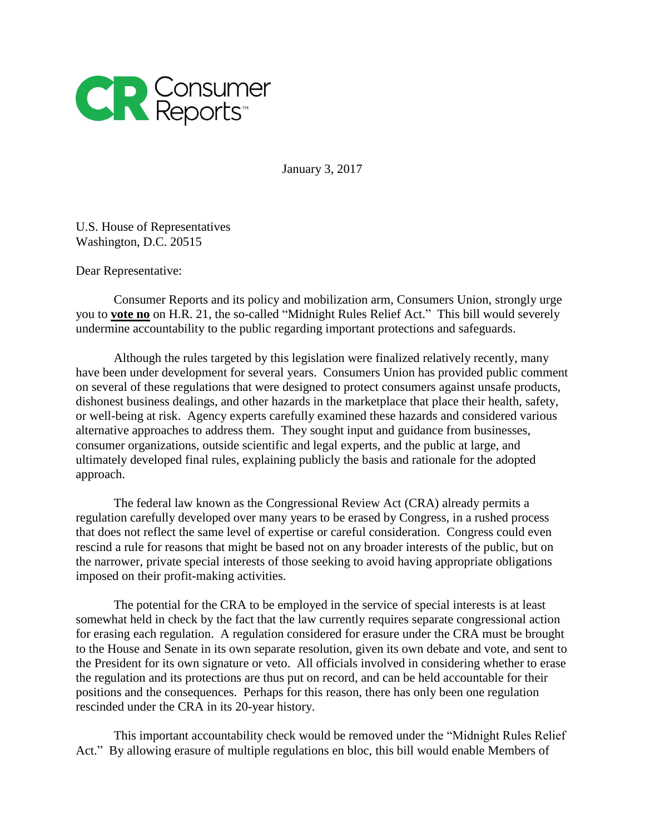

January 3, 2017

U.S. House of Representatives Washington, D.C. 20515

Dear Representative:

Consumer Reports and its policy and mobilization arm, Consumers Union, strongly urge you to **vote no** on H.R. 21, the so-called "Midnight Rules Relief Act." This bill would severely undermine accountability to the public regarding important protections and safeguards.

Although the rules targeted by this legislation were finalized relatively recently, many have been under development for several years. Consumers Union has provided public comment on several of these regulations that were designed to protect consumers against unsafe products, dishonest business dealings, and other hazards in the marketplace that place their health, safety, or well-being at risk. Agency experts carefully examined these hazards and considered various alternative approaches to address them. They sought input and guidance from businesses, consumer organizations, outside scientific and legal experts, and the public at large, and ultimately developed final rules, explaining publicly the basis and rationale for the adopted approach.

The federal law known as the Congressional Review Act (CRA) already permits a regulation carefully developed over many years to be erased by Congress, in a rushed process that does not reflect the same level of expertise or careful consideration. Congress could even rescind a rule for reasons that might be based not on any broader interests of the public, but on the narrower, private special interests of those seeking to avoid having appropriate obligations imposed on their profit-making activities.

The potential for the CRA to be employed in the service of special interests is at least somewhat held in check by the fact that the law currently requires separate congressional action for erasing each regulation. A regulation considered for erasure under the CRA must be brought to the House and Senate in its own separate resolution, given its own debate and vote, and sent to the President for its own signature or veto. All officials involved in considering whether to erase the regulation and its protections are thus put on record, and can be held accountable for their positions and the consequences. Perhaps for this reason, there has only been one regulation rescinded under the CRA in its 20-year history.

This important accountability check would be removed under the "Midnight Rules Relief Act." By allowing erasure of multiple regulations en bloc, this bill would enable Members of